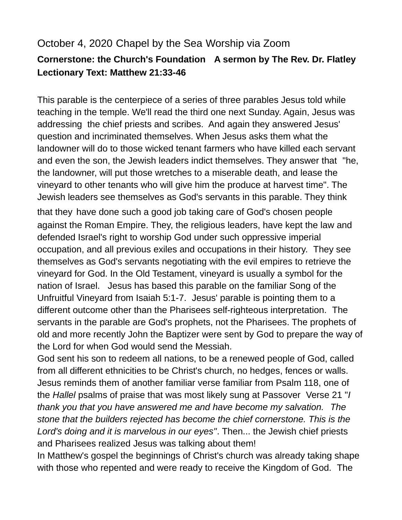## October 4, 2020 Chapel by the Sea Worship via Zoom **Cornerstone: the Church's Foundation A sermon by The Rev. Dr. Flatley Lectionary Text: Matthew 21:33-46**

This parable is the centerpiece of a series of three parables Jesus told while teaching in the temple. We'll read the third one next Sunday. Again, Jesus was addressing the chief priests and scribes. And again they answered Jesus' question and incriminated themselves. When Jesus asks them what the landowner will do to those wicked tenant farmers who have killed each servant and even the son, the Jewish leaders indict themselves. They answer that "he, the landowner, will put those wretches to a miserable death, and lease the vineyard to other tenants who will give him the produce at harvest time". The Jewish leaders see themselves as God's servants in this parable. They think that they have done such a good job taking care of God's chosen people against the Roman Empire. They, the religious leaders, have kept the law and defended Israel's right to worship God under such oppressive imperial occupation, and all previous exiles and occupations in their history. They see themselves as God's servants negotiating with the evil empires to retrieve the vineyard for God. In the Old Testament, vineyard is usually a symbol for the nation of Israel. Jesus has based this parable on the familiar Song of the Unfruitful Vineyard from Isaiah 5:1-7. Jesus' parable is pointing them to a different outcome other than the Pharisees self-righteous interpretation. The servants in the parable are God's prophets, not the Pharisees. The prophets of old and more recently John the Baptizer were sent by God to prepare the way of the Lord for when God would send the Messiah.

God sent his son to redeem all nations, to be a renewed people of God, called from all different ethnicities to be Christ's church, no hedges, fences or walls. Jesus reminds them of another familiar verse familiar from Psalm 118, one of the *Hallel* psalms of praise that was most likely sung at Passover Verse 21 "*I thank you that you have answered me and have become my salvation. The stone that the builders rejected has become the chief cornerstone. This is the Lord's doing and it is marvelous in our eyes"*. Then... the Jewish chief priests and Pharisees realized Jesus was talking about them!

In Matthew's gospel the beginnings of Christ's church was already taking shape with those who repented and were ready to receive the Kingdom of God. The